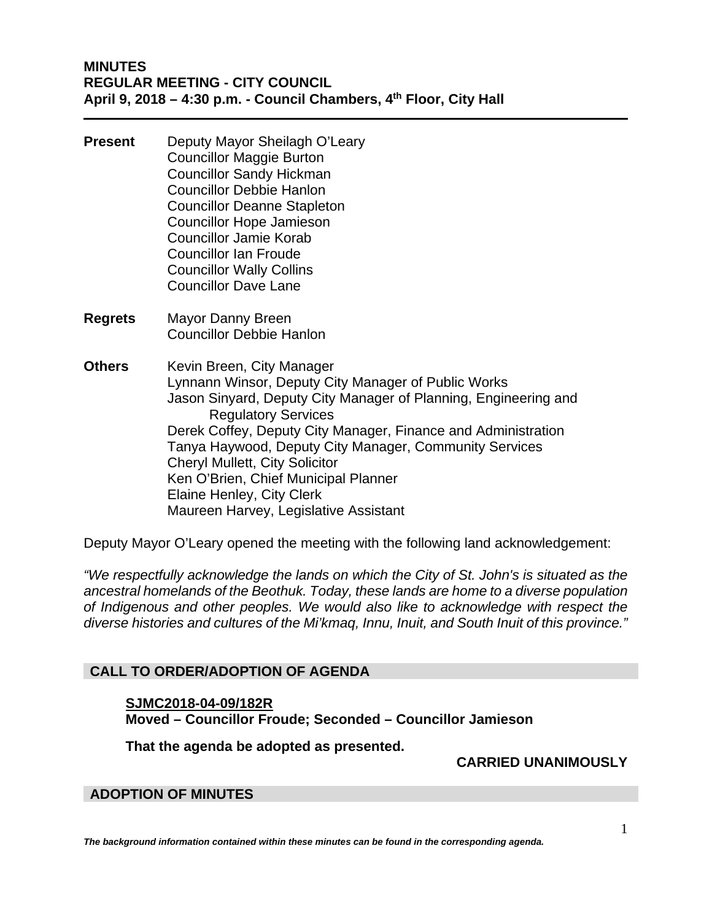- **Present** Deputy Mayor Sheilagh O'Leary Councillor Maggie Burton Councillor Sandy Hickman Councillor Debbie Hanlon Councillor Deanne Stapleton Councillor Hope Jamieson Councillor Jamie Korab Councillor Ian Froude Councillor Wally Collins Councillor Dave Lane
- **Regrets** Mayor Danny Breen Councillor Debbie Hanlon
- **Others** Kevin Breen, City Manager Lynnann Winsor, Deputy City Manager of Public Works Jason Sinyard, Deputy City Manager of Planning, Engineering and Regulatory Services Derek Coffey, Deputy City Manager, Finance and Administration Tanya Haywood, Deputy City Manager, Community Services Cheryl Mullett, City Solicitor Ken O'Brien, Chief Municipal Planner Elaine Henley, City Clerk Maureen Harvey, Legislative Assistant

Deputy Mayor O'Leary opened the meeting with the following land acknowledgement:

*"We respectfully acknowledge the lands on which the City of St. John's is situated as the ancestral homelands of the Beothuk. Today, these lands are home to a diverse population of Indigenous and other peoples. We would also like to acknowledge with respect the diverse histories and cultures of the Mi'kmaq, Innu, Inuit, and South Inuit of this province."* 

# **CALL TO ORDER/ADOPTION OF AGENDA**

# **SJMC2018-04-09/182R Moved – Councillor Froude; Seconded – Councillor Jamieson**

**That the agenda be adopted as presented.** 

 **CARRIED UNANIMOUSLY** 

# **ADOPTION OF MINUTES**

*The background information contained within these minutes can be found in the corresponding agenda.*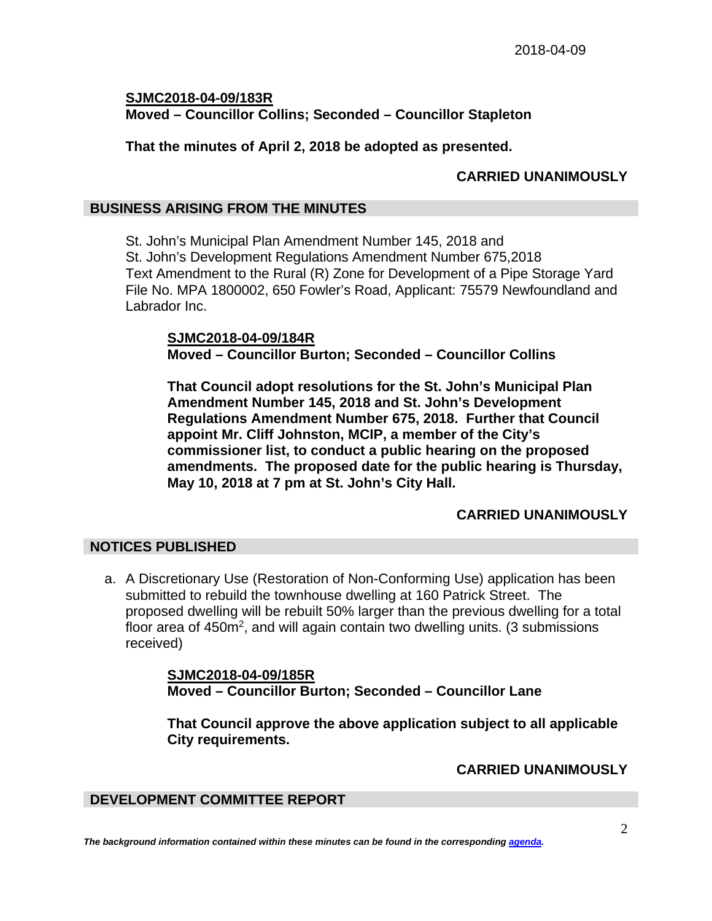**SJMC2018-04-09/183R Moved – Councillor Collins; Seconded – Councillor Stapleton** 

**That the minutes of April 2, 2018 be adopted as presented.** 

# **CARRIED UNANIMOUSLY**

## **BUSINESS ARISING FROM THE MINUTES**

St. John's Municipal Plan Amendment Number 145, 2018 and St. John's Development Regulations Amendment Number 675,2018 Text Amendment to the Rural (R) Zone for Development of a Pipe Storage Yard File No. MPA 1800002, 650 Fowler's Road, Applicant: 75579 Newfoundland and Labrador Inc.

**SJMC2018-04-09/184R Moved – Councillor Burton; Seconded – Councillor Collins** 

**That Council adopt resolutions for the St. John's Municipal Plan Amendment Number 145, 2018 and St. John's Development Regulations Amendment Number 675, 2018. Further that Council appoint Mr. Cliff Johnston, MCIP, a member of the City's commissioner list, to conduct a public hearing on the proposed amendments. The proposed date for the public hearing is Thursday, May 10, 2018 at 7 pm at St. John's City Hall.** 

# **CARRIED UNANIMOUSLY**

# **NOTICES PUBLISHED**

a. A Discretionary Use (Restoration of Non-Conforming Use) application has been submitted to rebuild the townhouse dwelling at 160 Patrick Street. The proposed dwelling will be rebuilt 50% larger than the previous dwelling for a total floor area of 450m<sup>2</sup>, and will again contain two dwelling units. (3 submissions received)

> **SJMC2018-04-09/185R Moved – Councillor Burton; Seconded – Councillor Lane**

**That Council approve the above application subject to all applicable City requirements.** 

**CARRIED UNANIMOUSLY** 

# **DEVELOPMENT COMMITTEE REPORT**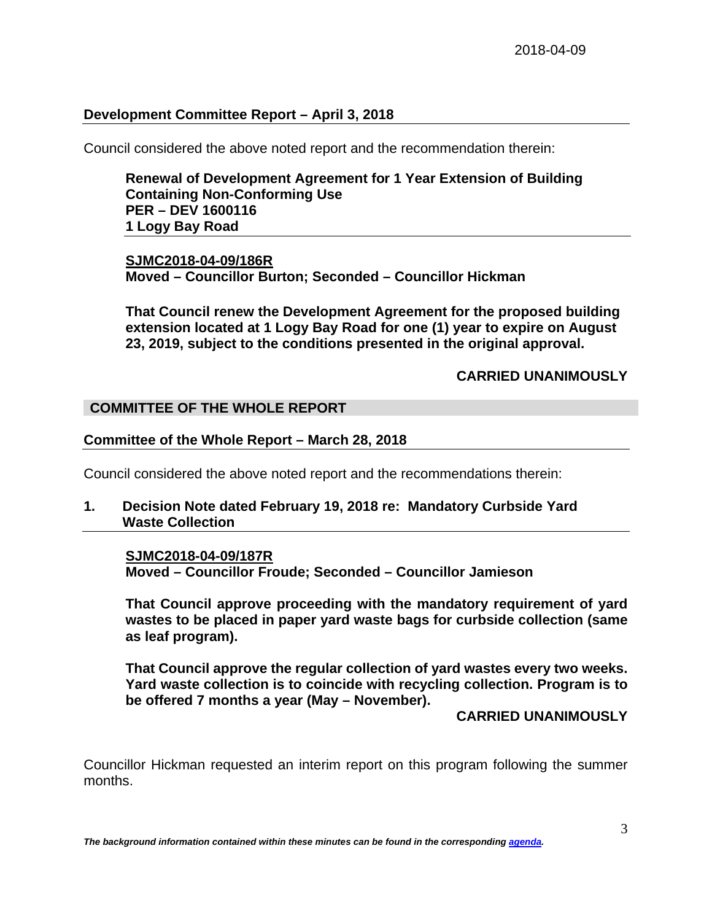## **Development Committee Report – April 3, 2018**

Council considered the above noted report and the recommendation therein:

**Renewal of Development Agreement for 1 Year Extension of Building Containing Non-Conforming Use PER – DEV 1600116 1 Logy Bay Road** 

**SJMC2018-04-09/186R Moved – Councillor Burton; Seconded – Councillor Hickman** 

**That Council renew the Development Agreement for the proposed building extension located at 1 Logy Bay Road for one (1) year to expire on August 23, 2019, subject to the conditions presented in the original approval.** 

**CARRIED UNANIMOUSLY** 

## **COMMITTEE OF THE WHOLE REPORT**

### **Committee of the Whole Report – March 28, 2018**

Council considered the above noted report and the recommendations therein:

**1. Decision Note dated February 19, 2018 re: Mandatory Curbside Yard Waste Collection**

#### **SJMC2018-04-09/187R**

**Moved – Councillor Froude; Seconded – Councillor Jamieson**

**That Council approve proceeding with the mandatory requirement of yard wastes to be placed in paper yard waste bags for curbside collection (same as leaf program).**

**That Council approve the regular collection of yard wastes every two weeks. Yard waste collection is to coincide with recycling collection. Program is to be offered 7 months a year (May – November).**

### **CARRIED UNANIMOUSLY**

Councillor Hickman requested an interim report on this program following the summer months.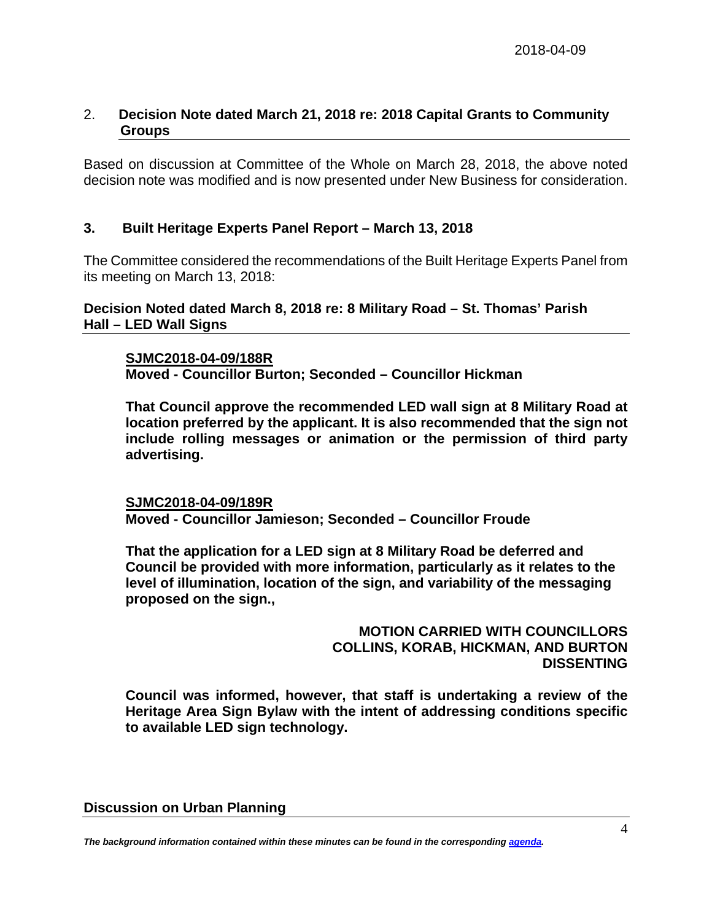# 2. **Decision Note dated March 21, 2018 re: 2018 Capital Grants to Community Groups**

Based on discussion at Committee of the Whole on March 28, 2018, the above noted decision note was modified and is now presented under New Business for consideration.

# **3. Built Heritage Experts Panel Report – March 13, 2018**

The Committee considered the recommendations of the Built Heritage Experts Panel from its meeting on March 13, 2018:

**Decision Noted dated March 8, 2018 re: 8 Military Road – St. Thomas' Parish Hall – LED Wall Signs**

## **SJMC2018-04-09/188R**

**Moved - Councillor Burton; Seconded – Councillor Hickman** 

**That Council approve the recommended LED wall sign at 8 Military Road at location preferred by the applicant. It is also recommended that the sign not include rolling messages or animation or the permission of third party advertising.** 

**SJMC2018-04-09/189R Moved - Councillor Jamieson; Seconded – Councillor Froude** 

**That the application for a LED sign at 8 Military Road be deferred and Council be provided with more information, particularly as it relates to the level of illumination, location of the sign, and variability of the messaging proposed on the sign.,** 

> **MOTION CARRIED WITH COUNCILLORS COLLINS, KORAB, HICKMAN, AND BURTON DISSENTING**

**Council was informed, however, that staff is undertaking a review of the Heritage Area Sign Bylaw with the intent of addressing conditions specific to available LED sign technology.**

#### **Discussion on Urban Planning**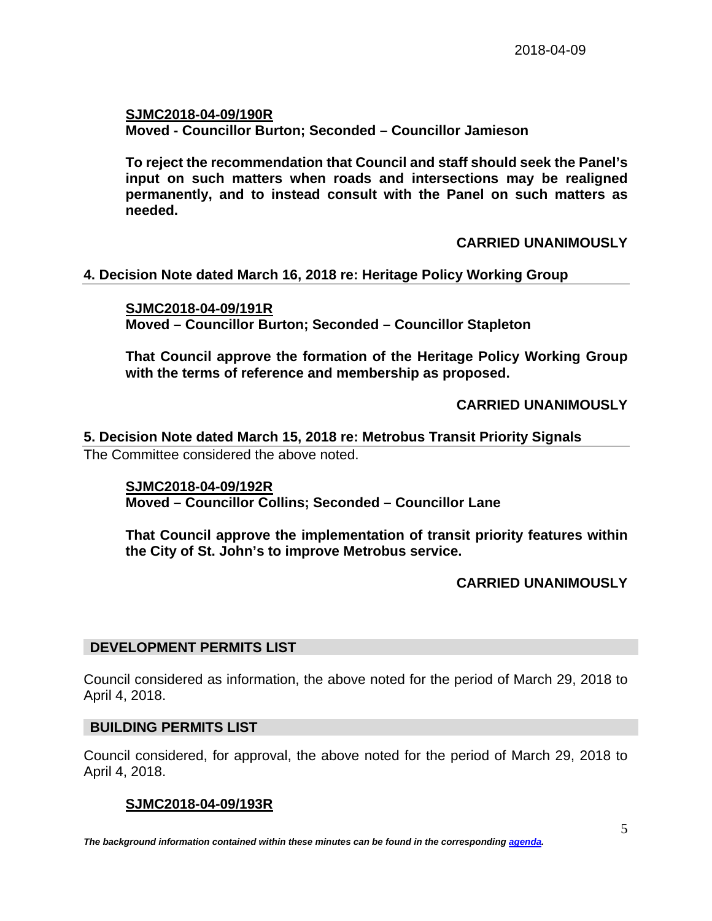**SJMC2018-04-09/190R Moved - Councillor Burton; Seconded – Councillor Jamieson**

**To reject the recommendation that Council and staff should seek the Panel's input on such matters when roads and intersections may be realigned permanently, and to instead consult with the Panel on such matters as needed.**

**CARRIED UNANIMOUSLY**

# **4. Decision Note dated March 16, 2018 re: Heritage Policy Working Group**

**SJMC2018-04-09/191R Moved – Councillor Burton; Seconded – Councillor Stapleton**

**That Council approve the formation of the Heritage Policy Working Group with the terms of reference and membership as proposed.**

**CARRIED UNANIMOUSLY** 

**5. Decision Note dated March 15, 2018 re: Metrobus Transit Priority Signals** The Committee considered the above noted.

**SJMC2018-04-09/192R Moved – Councillor Collins; Seconded – Councillor Lane**

**That Council approve the implementation of transit priority features within the City of St. John's to improve Metrobus service.** 

**CARRIED UNANIMOUSLY**

## **DEVELOPMENT PERMITS LIST**

Council considered as information, the above noted for the period of March 29, 2018 to April 4, 2018.

#### **BUILDING PERMITS LIST**

Council considered, for approval, the above noted for the period of March 29, 2018 to April 4, 2018.

## **SJMC2018-04-09/193R**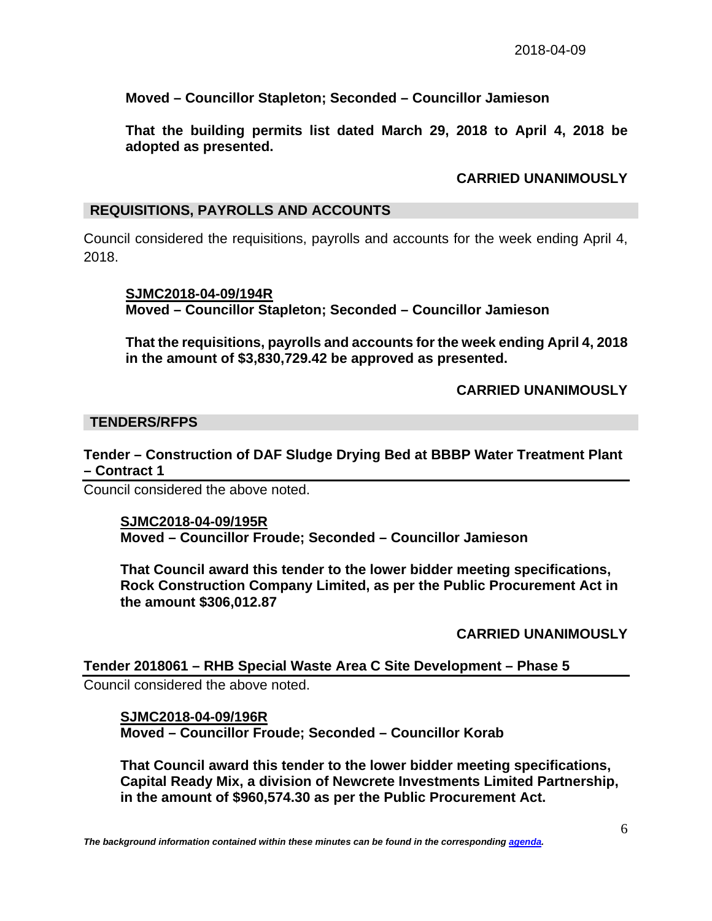**Moved – Councillor Stapleton; Seconded – Councillor Jamieson** 

**That the building permits list dated March 29, 2018 to April 4, 2018 be adopted as presented.** 

## **CARRIED UNANIMOUSLY**

## **REQUISITIONS, PAYROLLS AND ACCOUNTS**

Council considered the requisitions, payrolls and accounts for the week ending April 4, 2018.

**SJMC2018-04-09/194R Moved – Councillor Stapleton; Seconded – Councillor Jamieson** 

**That the requisitions, payrolls and accounts for the week ending April 4, 2018 in the amount of \$3,830,729.42 be approved as presented.** 

 **CARRIED UNANIMOUSLY** 

### **TENDERS/RFPS**

**Tender – Construction of DAF Sludge Drying Bed at BBBP Water Treatment Plant – Contract 1** 

Council considered the above noted.

#### **SJMC2018-04-09/195R Moved – Councillor Froude; Seconded – Councillor Jamieson**

**That Council award this tender to the lower bidder meeting specifications, Rock Construction Company Limited, as per the Public Procurement Act in the amount \$306,012.87** 

**CARRIED UNANIMOUSLY** 

#### **Tender 2018061 – RHB Special Waste Area C Site Development – Phase 5**

Council considered the above noted.

## **SJMC2018-04-09/196R**

**Moved – Councillor Froude; Seconded – Councillor Korab** 

**That Council award this tender to the lower bidder meeting specifications, Capital Ready Mix, a division of Newcrete Investments Limited Partnership, in the amount of \$960,574.30 as per the Public Procurement Act.**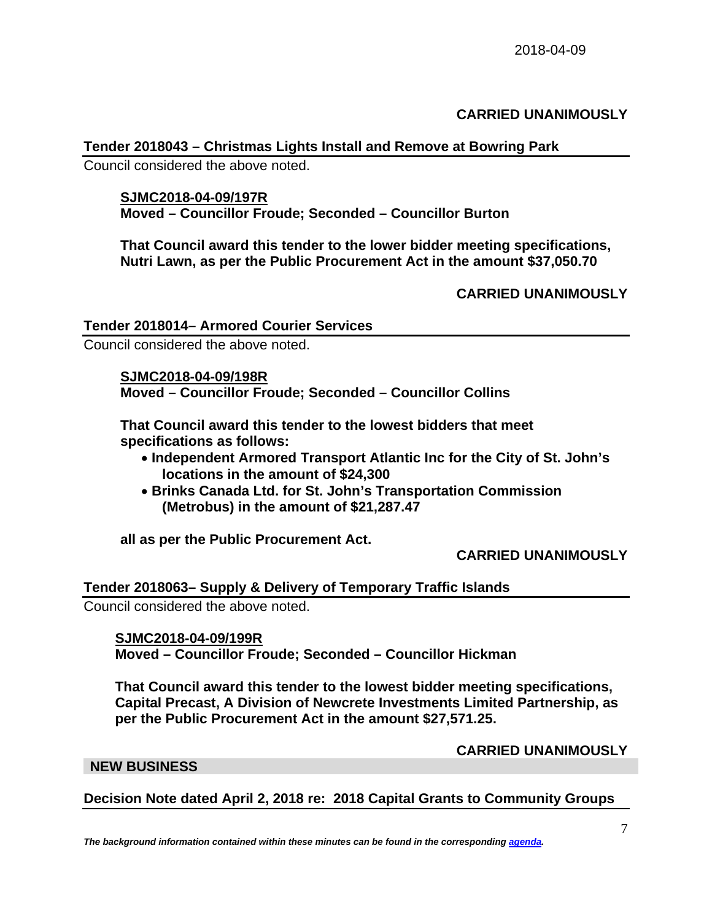## **CARRIED UNANIMOUSLY**

## **Tender 2018043 – Christmas Lights Install and Remove at Bowring Park**

Council considered the above noted.

#### **SJMC2018-04-09/197R**

**Moved – Councillor Froude; Seconded – Councillor Burton** 

**That Council award this tender to the lower bidder meeting specifications, Nutri Lawn, as per the Public Procurement Act in the amount \$37,050.70** 

## **CARRIED UNANIMOUSLY**

## **Tender 2018014– Armored Courier Services**

Council considered the above noted.

### **SJMC2018-04-09/198R**

**Moved – Councillor Froude; Seconded – Councillor Collins** 

**That Council award this tender to the lowest bidders that meet specifications as follows:** 

- **Independent Armored Transport Atlantic Inc for the City of St. John's locations in the amount of \$24,300**
- **Brinks Canada Ltd. for St. John's Transportation Commission (Metrobus) in the amount of \$21,287.47**

**all as per the Public Procurement Act.** 

### **CARRIED UNANIMOUSLY**

#### **Tender 2018063– Supply & Delivery of Temporary Traffic Islands**

Council considered the above noted.

#### **SJMC2018-04-09/199R**

**Moved – Councillor Froude; Seconded – Councillor Hickman** 

**That Council award this tender to the lowest bidder meeting specifications, Capital Precast, A Division of Newcrete Investments Limited Partnership, as per the Public Procurement Act in the amount \$27,571.25.** 

#### **CARRIED UNANIMOUSLY**

#### **NEW BUSINESS**

**Decision Note dated April 2, 2018 re: 2018 Capital Grants to Community Groups**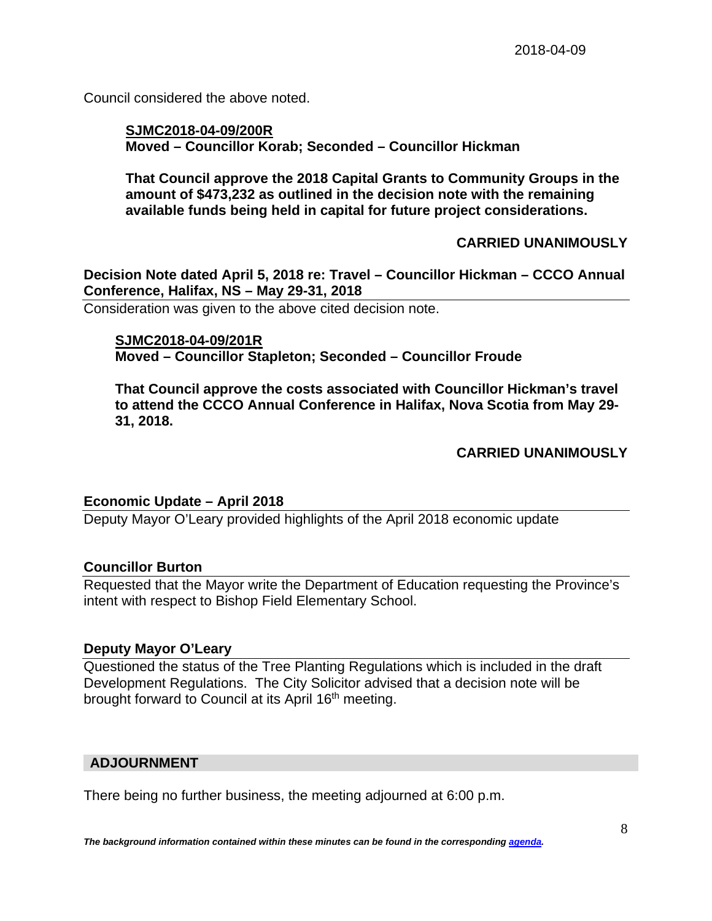Council considered the above noted.

## **SJMC2018-04-09/200R Moved – Councillor Korab; Seconded – Councillor Hickman**

**That Council approve the 2018 Capital Grants to Community Groups in the amount of \$473,232 as outlined in the decision note with the remaining available funds being held in capital for future project considerations.** 

# **CARRIED UNANIMOUSLY**

**Decision Note dated April 5, 2018 re: Travel – Councillor Hickman – CCCO Annual Conference, Halifax, NS – May 29-31, 2018** 

Consideration was given to the above cited decision note.

## **SJMC2018-04-09/201R**

**Moved – Councillor Stapleton; Seconded – Councillor Froude** 

**That Council approve the costs associated with Councillor Hickman's travel to attend the CCCO Annual Conference in Halifax, Nova Scotia from May 29- 31, 2018.** 

## **CARRIED UNANIMOUSLY**

## **Economic Update – April 2018**

Deputy Mayor O'Leary provided highlights of the April 2018 economic update

## **Councillor Burton**

Requested that the Mayor write the Department of Education requesting the Province's intent with respect to Bishop Field Elementary School.

## **Deputy Mayor O'Leary**

Questioned the status of the Tree Planting Regulations which is included in the draft Development Regulations. The City Solicitor advised that a decision note will be brought forward to Council at its April 16<sup>th</sup> meeting.

## **ADJOURNMENT**

There being no further business, the meeting adjourned at 6:00 p.m.